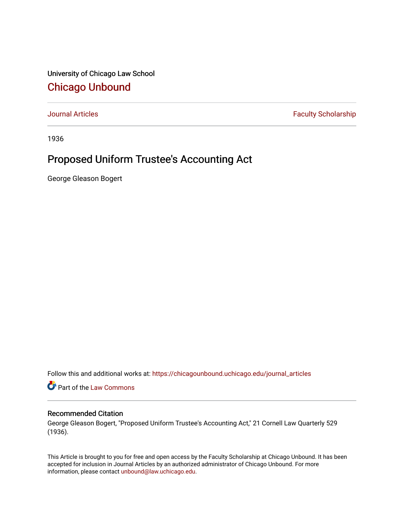University of Chicago Law School [Chicago Unbound](https://chicagounbound.uchicago.edu/)

[Journal Articles](https://chicagounbound.uchicago.edu/journal_articles) **Faculty Scholarship Faculty Scholarship** 

1936

# Proposed Uniform Trustee's Accounting Act

George Gleason Bogert

Follow this and additional works at: [https://chicagounbound.uchicago.edu/journal\\_articles](https://chicagounbound.uchicago.edu/journal_articles?utm_source=chicagounbound.uchicago.edu%2Fjournal_articles%2F9324&utm_medium=PDF&utm_campaign=PDFCoverPages) 

Part of the [Law Commons](http://network.bepress.com/hgg/discipline/578?utm_source=chicagounbound.uchicago.edu%2Fjournal_articles%2F9324&utm_medium=PDF&utm_campaign=PDFCoverPages)

### Recommended Citation

George Gleason Bogert, "Proposed Uniform Trustee's Accounting Act," 21 Cornell Law Quarterly 529 (1936).

This Article is brought to you for free and open access by the Faculty Scholarship at Chicago Unbound. It has been accepted for inclusion in Journal Articles by an authorized administrator of Chicago Unbound. For more information, please contact [unbound@law.uchicago.edu](mailto:unbound@law.uchicago.edu).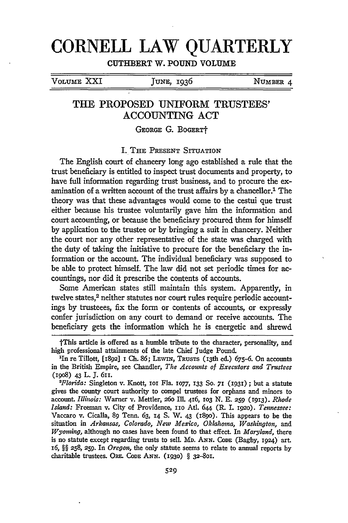# **CORNELL LAW QUARTERLY**

CUTHBERT W. **POUND VOLUME**

VOLUME XXI JUNE, 1936 **NUMBER** 4

### **THE** PROPOSED **UNIFORM TRUSTEES' ACCOUNTING ACT**

GEoRGE G. BoGERTf

### I. THE **PRESENT** SITUATION

The English court of chancery long ago established a rule that the trust beneficiary is entitled to inspect trust documents and property, to have full information regarding trust business, and to procure the examination of a written account of the trust affairs by a chancellor.<sup>1</sup> The theory was that these advantages would come to the cestui que trust either because his trustee voluntarily gave him the information and court accounting, or because the beneficiary procured them for himself by application to the trustee or by bringing a suit in chancery. Neither the court nor any other representative of the state was charged with the duty of taking the initiative to procure for the beneficiary the information or the account. The individual beneficiary was supposed to be able to protect himself. The law did not set periodic times for accountings, nor did it prescribe the contents of accounts.

Some American states still maintain this system. Apparently, in twelve states,<sup>2</sup> neither statutes nor court rules require periodic accountings by trusteees, fix the form or contents of accounts, or expressly confer jurisdiction on any court to demand or receive accounts. The beneficiary gets the information which he is energetic and shrewd

tThis article is offered as a humble tribute to the character, personality, and high professional attainments of the late Chief Judge Pound.

<sup>&</sup>lt;sup>1</sup>In re Tillott, [1892] I Ch. 86; LEWIN, TRUSTS (13th ed.) 675-6. On accounts in the British Empire, see Chandler, *The Accounts of Executors and Trustees* (9o8) 43 L. **J.** 6i.

*<sup>&#</sup>x27;Florida:* Singleton v. Knott, ioi Fla. *1077, 133* So. *7I* (i93i) ; but a statute gives the county court authority to compel trustees for orphans and minors to account. *Illinois:* Warner v. Mettler, 26o Ill. 416, **IO3** N. E. **259** (913). *Rhode Island:* Freeman v. City of Providence, iio AtI. *644* (R I. **I92O).** *Tennessee:* Vaccaro v. Cicalla, **89** Tenn. 63, **14 S.** W. 43 (1890). This appears to be the situation in *Arkansas, Colorado, New Mexico, Oklahoma, Washington, and Wyoming,* although no cases have been found to that effect. In *Maryland,* there is no statute except regarding trusts to sell. MD. AwN. **CODE:** (Bagby, **1924)** art. i6, §§ 258, **259.** In *Oregon,* the only statute seems to relate to annual reports **by** charitable trustees. **ORE. CODE** AxN. **(193o)** § 32-8o.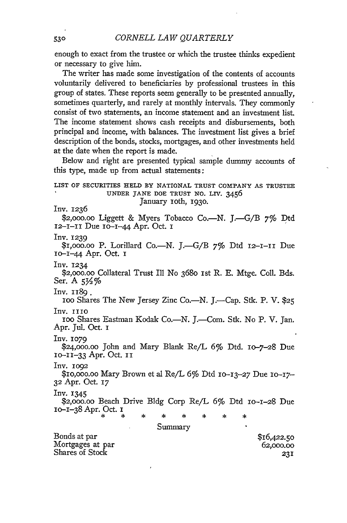enough to exact from the trustee or which the trustee thinks expedient or necessary to give him.

The writer has made some investigation of the contents of accounts voluntarily delivered to beneficiaries by professional trustees in this group of states. These reports seem generally to be presented annually, sometimes quarterly, and rarely at monthly intervals. They commonly consist of two statements, an income statement and an investment list. The income statement shows cash receipts and disbursements, both principal and income, with balances. The investment list gives a brief description of the bonds, stocks, mortgages, and other investments held at the date when the report is made.

Below and right are presented typical sample dummy accounts of this type, made up from actual statements:

LIST OF SECURITIES **HELD** BY NATIONAL TRUST COMPANY **AS TRUSTEE UNDER JANE DOE** TRUST **NO.** LIV. 3456 January ioth, **I93O.** Inv. **1236** \$2,000.00 Liggett & Myers Tobacco Co.—N. J.—G/B  $7\%$  Dtd **12-I-I1** Due Io-I-44 Apr. Oct. I Inv. **1239**  $$1,000.00$  P. Lorillard Co.—N. J.—G/B 7% Dtd  $12$ -1-11 Due Io-I-44 Apr. Oct. I Inv. 1234 *\$2,oo0.oo* Collateral Trust Ill No 368o Ist R. E. Mtge. Coll. Bds. Ser. A **5/2%** Inv. **1189.** ioo Shares The New Jersey Zinc Co.-N. J.-Cap. Stk. P. V. **\$25** Inv. IIIO 100 Shares Eastman Kodak Co.-N. J.-Com. Stk. No P. V. Jan. Apr. Jul. Oct. I Inv. *Io79* \$24,000.00 John and Mary Blank Re/L 6% Dtd. Io-7-28 Due **10-11-33** Apr. Oct. ii Inv. **1092** \$io,ooo.oo Mary Brown et al Re/L 6%o Dtd **10-13-27** Due IO-i7- **32** Apr. Oct. 17 Inv. I345 **\$2,000.oo** Beach Drive Bldg Corp Re/L 6% Dtd o-i-28 Due IO-I-38 Apr. Oct. I  $\ast$  $\ast$  $\ast$ Summary  $B$ onds at par  $$16,422.50$ Mortgages at par 62,000.00 Shares of Stock **231**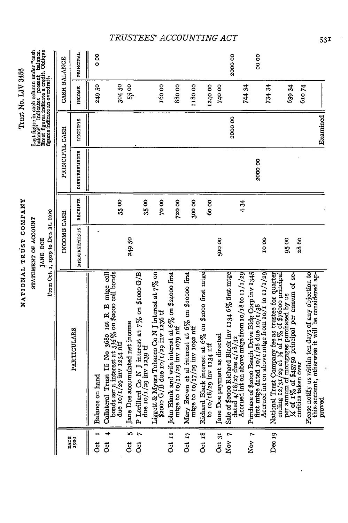|                       |                                                                                                                                                       | NATIONAL TRUST COMFANY                                                        |                 |                      |                                                                                                                                                            | המצים ונדר יהוד המחוד |               |
|-----------------------|-------------------------------------------------------------------------------------------------------------------------------------------------------|-------------------------------------------------------------------------------|-----------------|----------------------|------------------------------------------------------------------------------------------------------------------------------------------------------------|-----------------------|---------------|
|                       |                                                                                                                                                       | From Oct. 1, 1929 to Dec. 31, 1929<br><b>STATEMENT OF ACCOUNT</b><br>JANE DOE |                 |                      | Last figure in cach column under "cash<br>balance" tradicates present balance.<br>haures indicates an overdrati. Oblique<br>figures indicate an overdrati. |                       |               |
| DATE                  |                                                                                                                                                       | INCOME CASH                                                                   |                 | PRINCIPAL CASH       |                                                                                                                                                            |                       | CASH BALANCE  |
| 1929                  | PARTICULARS                                                                                                                                           | DISBURSEMENTS                                                                 | <b>RECEIPTS</b> | <b>DISBURSEMENTS</b> | RECEIPTS                                                                                                                                                   | INCOME                | PRINCIPAL     |
| н<br>ර්               | Balance on hand                                                                                                                                       |                                                                               |                 |                      |                                                                                                                                                            | 24950                 | $\frac{8}{9}$ |
| 4<br>ಕೆ               | Collateral Trust III No 3680 1st R B mtge coll bonds ser a interest at $5/4\%$ on \$2000 coll bonds due 10/1/29 inv 1234 ntf                          |                                                                               | 5500            |                      |                                                                                                                                                            | 30450                 |               |
| ທ<br>ಕೆ               | Jane Doe accumulated net income                                                                                                                       | 24950                                                                         |                 |                      |                                                                                                                                                            | 55 ၀၀                 |               |
| $\overline{a}$<br>ğ   | P Lorillard Co N J interest at 7% on \$1000 G/B due 10/1/29 inv 1239 tf                                                                               |                                                                               | 3500            |                      |                                                                                                                                                            |                       |               |
|                       | Liggett & Myers Tobacco Co N J interest at 7% on<br>\$2000 G/B due 10/1/29 inv 1236 tf                                                                |                                                                               | 7000            |                      |                                                                                                                                                            | 16000                 |               |
| Det 11                | John Blank and wife interest at $6\%$ on \$24000 first mtge to $10/11/29$ inv $1079$ ntf                                                              |                                                                               | 72000           |                      |                                                                                                                                                            | 88000                 |               |
| Oct 17                | Mary Brown et al interest at $6\%$ on \$10000 first mige to $10/17/29$ inv 1092 ntf                                                                   |                                                                               | 300 00          |                      |                                                                                                                                                            | 118000                |               |
| Oct 18                | Richard Black interest at 6% on \$2000 first mtge<br>to 10/18/29 inv 1134 ntf                                                                         |                                                                               | 60 00           |                      |                                                                                                                                                            | 1240 00               |               |
| 31<br>.<br>ರೆ         | Jane Doe payment as directed                                                                                                                          | 500 00                                                                        |                 |                      |                                                                                                                                                            | 74000                 |               |
| Nov <sub>7</sub>      | Sale of \$2000 Richard Black inv 1134 6% first mtge<br>Accrued int on above mige from 10/18 to 11/1/29<br>dated 4/18/27 due 4/18/32                   |                                                                               | 434             |                      | 200000                                                                                                                                                     |                       | 200000        |
| $\overline{ }$<br>Nov | Purchase of \$2000 Beach Drive Bldg Corp inv $1345$<br>first mtge dated $10/1/28$ due $10/1/38$<br>Accrued int on above mtge from $10/1$ to $11/1/29$ | 1000                                                                          |                 | 2000 00              |                                                                                                                                                            | $\frac{2}{3}$<br>744. | 00 00         |
| Dec <sub>19</sub>     | National Trust Company fee as trustee for quarter<br>ending $12/31/29$ at $14$ of $1\%$ of $\frac{5}{4}76000$ principal                               |                                                                               |                 |                      |                                                                                                                                                            | 734 34                |               |
|                       | per annum of mortgages purchased by us $\tilde{A}$ of $\tilde{B}$ of \$45750 principal per annum of se-<br>curities taken over                        | 9500<br>2860                                                                  |                 |                      |                                                                                                                                                            | 63934                 |               |
|                       | Please notify us within ten days of any objection to<br>this account, otherwise it will be considered ap-                                             |                                                                               |                 |                      |                                                                                                                                                            | 61074                 |               |
|                       | proved                                                                                                                                                |                                                                               |                 |                      | Examined                                                                                                                                                   |                       |               |

## TRUSTEES' ACCOUNTING ACT 53<sup>1</sup>

 $\ddot{\phantom{0}}$ 

ł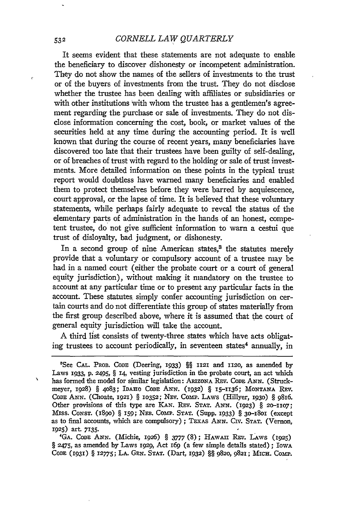It seems evident that these statements are not adequate to enable the beneficiary to discover dishonesty or incompetent administration. They do not show the names of the sellers of investments to the trust or of the buyers of investments from the trust. They do not disclose whether the trustee has been dealing with affiliates or subsidiaries or with other institutions with whom the trustee has a gentlemen's agreement regarding the purchase or sale of investments. They do not disclose information concerning the cost, book, or market values of the securities held at any time during the accounting period. It is well known that during the course of recent years, many beneficiaries have discovered too late that their trustees have been guilty of self-dealing, or of breaches of trust with regard to the holding or sale of trust investments. More detailed information on these points in the typical trust report would doubtless have warned many beneficiaries and enabled them to protect themselves before they were barred by acquiescence, court approval, or the lapse of time. It is believed that these voluntary statements, while perhaps fairly adequate to reveal the status of the elementary parts of administration in the hands of an honest, competent trustee, do not give sufficient information to warn a cestui que trust of disloyalty, bad judgment, or dishonesty.

In a second group of nine American states,<sup>3</sup> the statutes merely provide that a voluntary or compulsory account of a trustee may be had in a named court (either the probate court or a court of general equity jurisdiction), without making it mandatory on the trustee to account at any particular time or to present any particular facts in the account. These statutes simply confer accounting jurisdiction on certain courts and do not differentiate this group of states materially from the first group described above, where it is assumed that the court of general equity jurisdiction will take the account.

A third list consists of twenty-three states which have acts obligating trustees to account periodically, in seventeen states<sup>4</sup> annually, in

**'GA. CODE ANN. (Michie,** 1926) § 3777 **(8) ;** HAWAII **REV.** LAWS **(1925)** § 2475, as amended by Laws 1929, Act *169* (a few simple details stated) ; IowA **CODE** (193) § 12775; LA. **GEN. STAT.** (Dart, 1932) **§§ 9820, 9821;** MIcH. CoMT.

è

<sup>&#</sup>x27;See **CAL. PROB.** CODE (Deering, **1933) §§ 1121** and **ii2o,** as amended by Laws 1933, P. 2495, § **14,** vesting jurisdiction in the probate court, an act which has formed the model for similar legislation: ARIZONA REV. CODE ANN. (Struckmeyer, 1928) § 4083; **IDAHO** CODE **ANN.** (1932) § **15-136;** MONTANA Rv. CODE **ANN.** (Choate, **i92i)** § **10352;** NEv. Com. LAWS (Hillyer, 193o) § 98x6. Other provisions of this type are KAN. REV. STAT. ANN. (1923) § 20-1107; MIss. CoNsT. **(I89O)** § **i59; NEB.** Comp. **STAT.** (Supp. **1933)** § **30-1801** (except as to final accounts, which are compulsory) ; TEXAS **ANN.** Civ. **STAT.** (Vernon, **1925)** art. **7135.**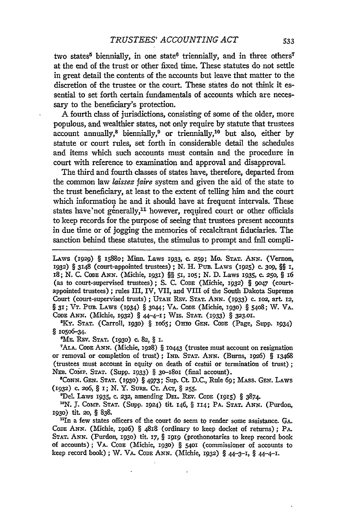two states<sup>5</sup> biennially, in one state<sup>6</sup> triennially, and in three others<sup>7</sup> at the end of the trust or other fixed time. These statutes do not settle in great detail the contents of the accounts but leave that matter to the discretion of the trustee or the court. These states do not think it essential to set forth certain fundamentals of accounts which are necessary to the beneficiary's protection.

A fourth class of jurisdictions, consisting of some of the older, more populous, and wealthier states, not only require by statute that trustees account annually,<sup>8</sup> biennially,<sup>9</sup> or triennially,<sup>10</sup> but also, either by statute or court rules, set forth in considerable detail the schedules and items which such accounts must contain and the procedure in court with reference to examination and approval and disapproval.

The third and fourth classes of states have, therefore, departed from the common law *laissez faire* system and given the aid of the state to the trust beneficiary, at least to the extent of telling him and the court which information he and it should have at frequent intervals. These states have'not generally,<sup>11</sup> however, required court or other officials to keep records for the purpose of seeing that trustees present accounts in due time or of jogging the memories of recalcitrant fiduciaries. The sanction behind these statutes, the stimulus to prompt and fnll compli-

LAws **(1929)** § **15880;** Minn. Laws 1933, **c. 259;** Mo. **STAT. ANN.** (Vernon, 1932) § 3148 (court-appointed trustees) ; N. H. PuB. LAws (1925) **c. 309,** *§§* **I,** 18; *N.* C. CODE ANN. (Michie, **i93I)** *§§* **5I,** io5; **N. D.** Laws 1935, C. **250,** *§ I6* (as to court-supervised trustees); S. C. CODE (Michie, I932) § 9047 (courtappointed trustees) ; rules III, IV, VII, and VIII of the South Dakota Supreme Court (court-supervised trusts) ; UTAH REv. **STAT.** ANN. (933) c. io2, art. 12, *§* **31; VT.** PUB. LAvs (1934) § 3044; VA. CODE (Michie, **1930)** § 5408; W. VA. CODE ANN. (Michie, 1932) § 44-4-I; WIs. **STAT.** (933) § **323.01.**

'Ky. **STAT.** (Carroll, **I93o)** § io65; OHIo **GEN.** CODE (Page, Supp. 1934) *§* 10506-34.

"ME. REv. **STAT. (i930)** c. 82, § **I.**

*7 ALA.* CODE ANN. (Michie, 1928) *§* **IO443** (trustee must account on resignation or removal or completion of trust); IND. **STAT.** ANN. (Burns, x926) § 13468 (trustees must account in equity on death of cestui or termination of trust); **NEB.** ComP. **STAT.** (Supp. 1933) § 30-1801 (final account).

'CONN. GEN. **STAT. (193o)** § 4973; Sup. Ct. D.C., Rule **69;** MAss. **GEN.** LAws **(1932) C.** 2o6, § **i; N.** Y. Suaa. **CT.** Acr, § **255.**

'Del. Laws 1935, c. **232,** amending **DEL.** REv. CODE (ig95) § 3874.

*"N.* **J.** Comx. STAT. (Supp. 1924) tit 146, § **I14;** PA. STAT. ANN. (Purdon, **1930) tit** 20, § 838.

'In a few states officers of the court do seem to render some assistance. **GA.** CODE ANN. (Michie, 1926) § 4818 (ordinary to keep docket of returns) ; PA. STAT. ANN. (Purdon, 1930) tit. 17, § 1919 (prothonotaries to keep record book of accounts) ; VA. CODE (Michle, 193o) § **5401** (commissioner of accounts to keep record book) ; W. VA. **CODE:** ANN. (Michie, 1932) § 44-3-1, § 44-4-1.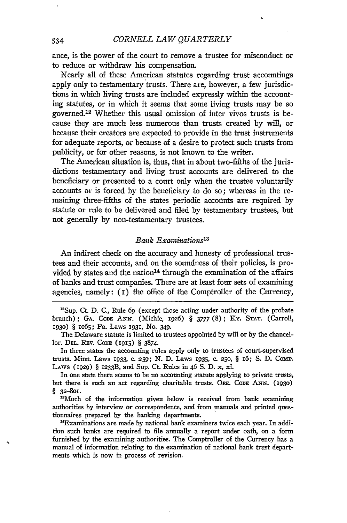ance, is the power of the court to remove a trustee for misconduct or to reduce or withdraw his compensation.

Nearly all of these American statutes regarding trust accountings apply only to testamentary trusts. There are, however, a few jurisdictions in which living trusts are included expressly within the accounting statutes, or in which it seems that some living trusts may be so governed. 12 Whether this usual omission of inter vivos trusts is because they are much less numerous than trusts created by will, or because their creators are expected to provide in the trust instruments for adequate reports, or because of a desire to protect such trusts from publicity, or for other reasons, is not known to the writer.

The American situation is, thus, that in about two-fifths of the jurisdictions testamentary and living trust accounts are delivered to the beneficiary or presented to a court only when the trustee voluntarily accounts or is forced by the beneficiary to do so; whereas in the remaining three-fifths of the states periodic accounts are required by statute or rule to be delivered and filed by testamentary trustees, but not generally by non-testamentary trustees.

### *Bank Examinations3*

An indirect check on the accuracy and honesty of professional trustees and their accounts, and on the soundness of their policies, is provided by states and the nation<sup>14</sup> through the examination of the affairs of banks and trust companies. There are at least four sets of examining agencies, namely: (i) the office of the Comptroller of the Currency,

'Sup. Ct. **D.** C., Rule **69** (except those acting under authority of the probate branch); GA. CODE **ANN.** (Michie, 1926) § 3777 (8); Ky. **STAT.** (Carroll, **193o)** § io65; Pa. Laws **1931,** No. 349.

The Delaware statute is limited to trustees appointed by will or **by** the chancellor. **DEL. REv.** CODE (1915) § 3874.

In three states the accounting rules apply only to trustees of court-supervised trusts. Minn. Laws **1933,** c. **259;** N. D. Laws 1935, **C.** *250,* § 16; S. D. Comp. LAws (1929) § 123 3B, and Sup. Ct. Rules in 46 **S.** D. x, xi.

In one state there seems to be no accounting statute applying to private trusts, but there is such an act regarding charitable trusts. ORE. **CODE ANN. (1930)** § 32-8Ol.

<sup>13</sup>Much of the information given below is received from bank examining authorities by interview or correspondence, and from manuals and printed questionnaires prepared by the banking departments.

'Examinations are made by national bank examiners twice each year. In addition such banks are required to file annually a report under oath, on a form furnished by the examining authorities. The Comptroller of the Currency has a manual of information relating to the examination of national bank trust departments which is now in process of revision.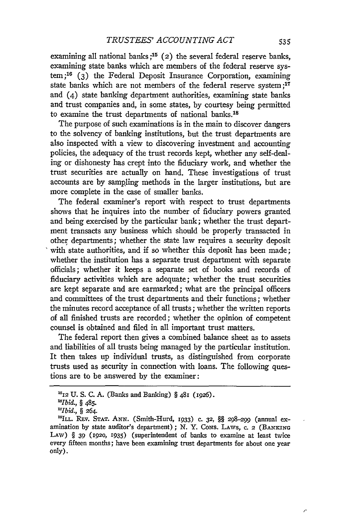examining all national banks;<sup>15</sup> (2) the several federal reserve banks, examining state banks which are members of the federal reserve system;16 **(3)** the Federal Deposit Insurance Corporation, examining state banks which are not members of the federal reserve system;<sup>17</sup> and (4) state banking department authorities, examining state banks and trust companies and, in some states, by courtesy being permitted to examine the trust departments of national banks.18

The purpose of such examinations is in the main to discover dangers to the solvency of banking institutions, but the trust departments are also inspected with a view to discovering investment and accounting policies, the adequacy of the trust records kept, whether any self-dealing or dishonesty has crept into the fiduciary work, and whether the trust securities are actually on hand. These investigations of trust accounts are by sampling methods in the larger institutions, but are more complete in the case of smaller banks.

The federal examiner's report with respect to trust departments shows that he inquires into the number of fiduciary powers granted and being exercised by the particular bank; whether the trust department transacts any business which should be properly transacted in other departments; whether the state law requires a security deposit with state authorities, and if so whether this deposit has been made; whether the institution has a separate trust department with separate officials; whether it keeps a separate set of books and records of fiduciary activities which are adequate; whether the trust securities are kept separate and are earmarked; what are the principal officers and committees of the trust departments and their functions; whether the minutes record acceptance of all trusts; whether the written reports of all finished trusts are recorded; whether the opinion of competent counsel is obtained and filed in all important trust matters.

The federal report then gives a combined balance sheet as to assets and liabilities of all trusts being managed by the particular institution. It then takes up individual trusts, as distinguished from corporate trusts used as security in connection with loans. The following questions are to be answered by the examiner:

r

**Mi2** U. S. C. A. (Banks and Banking) § **481** (1926).

*<sup>&</sup>quot;Ibid., §* 485.

*<sup>&</sup>quot;'lbid., §* 264.

<sup>&#</sup>x27;ILL. RFV. **STAT.** ANN. (Smith-Hurd, **1933)** c. **32,** §§ 298-299 (annual examination by state auditor's department) ; N. Y. Cons. LAWS, c. 2 (BANKING LAW) § 39 (I920, **1935)** (superintendent of banks to examine at least twice every fifteen months; have been examining trust departments for about one year only).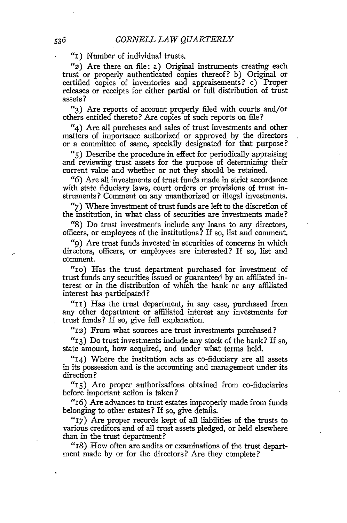**"i)** Number of individual trusts.

"2) Are there on file: a) Original instruments creating each trust or properly authenticated copies thereof? b) Original or certified copies of inventories and appraisements? c) Proper releases or receipts for either partial or full distribution of trust assets?

"3) Are reports of account properly filed with courts and/or others entitled thereto? Are copies of such reports on file?

"4) Are all purchases and sales of trust investments and other matters of importance authorized or approved by the directors or a committee of same, specially designated for that purpose?

"5) Describe the procedure in effect for periodically appraising and reviewing trust assets for the purpose of determining their current value and whether or not they should be retained.

"6) Are all investments of trust funds made in strict accordance with state fiduciary laws, court orders or provisions of trust instruments? Comment on any unauthorized or illegal investments.

*"7)* Where investment of trust funds are left to the discretion of the institution, in what class of securities are investments made?

"8) Do trust investments include any loans to any directors, officers, or employees of the institutions? If so, list and comment.

"9) Are trust funds invested in securities of concerns in which directors, officers, or employees are interested? If so, list and comment.

"IO) Has the trust department purchased for investment of trust funds any securities issued or guaranteed **by** an affiliated interest or in the distribution of which the bank or any affiliated interest has participated?

"II) Has the trust department, in any case, purchased from any other department or affiliated interest any investments for trust funds? If so, give full explanation.

**"12)** From what sources are trust investments purchased?

**"13)** Do trust investments include any stock of the bank? If so, state amount, how acquired, and under what terms held.

**"14)** Where the institution acts as co-fiduciary are all assets in its possession and is the accounting and management under its direction?

"15) Are proper authorizations obtained from co-fiduciaries before important action is taken?

"16) Are advances to trust estates improperly made from funds belonging to other estates? If so, give details.

"17) Are proper records kept of all liabilities of the trusts to various creditors and of all trust assets pledged, or held elsewhere

than in the trust department? "18) How often are audits or examinations of the trust department made by or for the directors? Are they complete?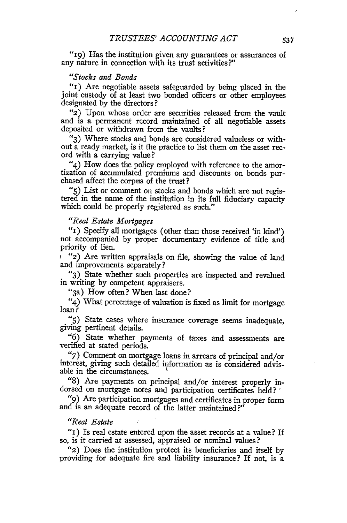**"19)** Has the institution given any guarantees or assurances of any nature in connection with its trust activities ?"

### *"Stocks and Bonds*

"i) Are negotiable assets safeguarded **by** being placed in the **joint** custody of at least two bonded officers or other employees designated **by** the directors?

*"t2)* Upon whose order are securities released from the vault and is a permanent record maintained of all negotiable assets deposited or withdrawn from the vaults?

*"3)* Where stocks and bonds are considered valueless or without a ready market, is it the practice to list them on the asset record with a carrying value?

*"4)* How does the policy employed with reference to the amortization of accumulated premiums and discounts on bonds pur- chased affect the corpus of the trust?

*"5)* List or comment on stocks and bonds which are not registered in the name of the institution in its full fiduciary capacity which could be properly registered as such."

*"Real Estate Mortgages* "I) Specify all mortgages (other than those received 'in kind') not accompanied by proper documentary evidence of title and priority of lien.

"2) Are written appraisals on file, showing the value of land and improvements separately?

<sup>n</sup>*3)* State whether such properties are inspected and revalued in writing by competent appraisers. "3a) How often? When last done?

*"'4)* What percentage of valuation is fixed as limit for mortgage loan?

*"5)* State cases where insurance coverage seems inadequate, giving pertinent details.

"6) State whether payments of taxes and assessments are

verified at stated periods. *"7)* Comment on mortgage loans in arrears of principal and/or interest, giving such detailed information as is considered advisable in the circumstances.

"8) Are payments on principal and/or interest properly indorsed on mortgage notes and participation certificates held?'

"9) Are participation mortgages and certificates in proper form and is an adequate record of the latter maintained **?"**

### *"Real Estate*

"i) Is real estate entered upon the asset records at a value? If so, is it carried at assessed, appraised or nominal values?

"2) Does the institution protect its beneficiaries and itself by providing for adequate fire and liability insurance? If not, is a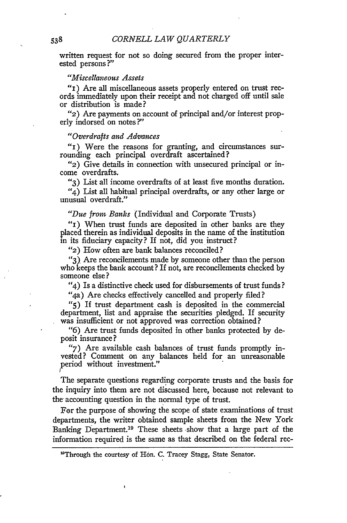written request for not so doing secured from the proper interested persons **?"**

### *"Miscellaneous Assets*

"i) Are all miscellaneous assets properly entered on trust records immediately upon their receipt and not charged off until sale or distribution is made?

"2) Are payments on account of principal and/or interest properly indorsed on notes ?"

### *"Overdrafts and Advances*

"i) Were the reasons for granting, and circumstances surrounding each principal overdraft ascertained?

"2) Give details in connection with unsecured principal or income overdrafts.

**"3)** List all income overdrafts of at least five months duration.

"4) List all habitual principal overdrafts, or any other large or unusual overdraft."

*"Due from Banks* (Individual and Corporate Trusts)

"i) When trust funds are deposited in other banks are they placed therein as individual deposits in the name of the institution in its fiduciary capacity? If not, did you instruct?

"2) How often are bank balances reconciled?

**"3)** Are reconcilements made **by** someone other than the person who keeps the bank account? If not, are reconcilements checked **by** someone else?

"4) Is a distinctive check used for disbursements of trust funds?

"4a) Are checks effectively cancelled and properly filed?

"5) If trust department cash is deposited in the commercial department, list and appraise the securities pledged. If security was insufficient or not approved was correction obtained?

"6) Are trust funds deposited in other banks protected by deposit insurance?

*"7)* Are available cash balances of trust funds promptly invested? Comment on any balances held for an unreasonable period without investment."

The separate questions regarding corporate trusts and the basis for the inquiry into them are not discussed here, because not relevant to the accounting question in the normal type of trust.

For the purpose of showing the scope of state examinations of trust departments, the writer obtained sample sheets from the New York Banking Department.<sup>19</sup> These sheets show that a large part of the information required is the same as that described on the federal rec-

<sup>&</sup>lt;sup>19</sup>Through the courtesy of Hon. C. Tracey Stagg, State Senator.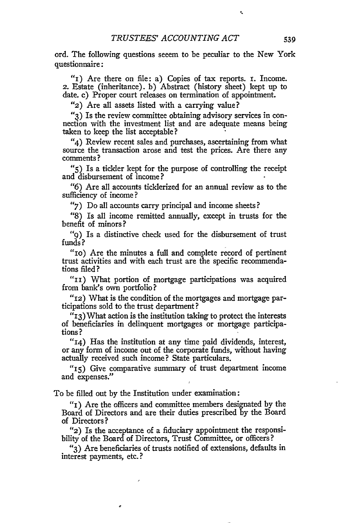ord. The following questions seeem to be peculiar to the New York questionnaire:

"i) Are there on file: a) Copies of tax reports. I. Income. 2. Estate (inheritance). b) Abstract (history sheet) kept up to date. c) Proper court releases on termination of appointment.

**"2)** Are all assets listed with a carrying value?

*"3)* Is the review committee obtaining advisory services in connection with the investment list and are adequate means being taken to keep the list acceptable?

"4) Review recent sales and purchases, ascertaining from what source the transaction arose and test the prices. Are there any comments?

"5) Is a tickler kept for the purpose of controlling the receipt and disbursement of income?

"6) Are all accounts ticklerized for an annual review as to the sufficiency of income?

**"7)** Do all accounts carry principal and income sheets?

"8) Is all income remitted annually, except in trusts for the benefit of minors?

"9) Is a distinctive check used for the disbursement of trust funds?

"io) Are the minutes a full and complete record of pertinent trust activities and with each trust are the specific recommendations filed?

**"ii)** What portion of mortgage participations was acquired from bank's own portfolio?

**"i12)** What is the condition of the mortgages and mortgage participations sold to the trust department?

**"i13)** What action is the institution taking to protect the interests of beneficiaries in delinquent mortgages or mortgage participations **?**

**"14)** Has the institution at any time paid dividends, interest, or any form of income out of the corporate funds, without having actually received such income? State particulars.

"i5) Give comparative summary of trust department income and expenses."

To be filled out **by** the Institution under examination:

"I) Are the officers and committee members designated by the Board of Directors and are their duties prescribed by the Board of Directors?

*"2)* Is the acceptance of a fiduciary appointment the responsibility of the Board of Directors, Trust Committee, or officers?

"3) Are beneficiaries of trusts notified of extensions, defaults in interest payments, etc.?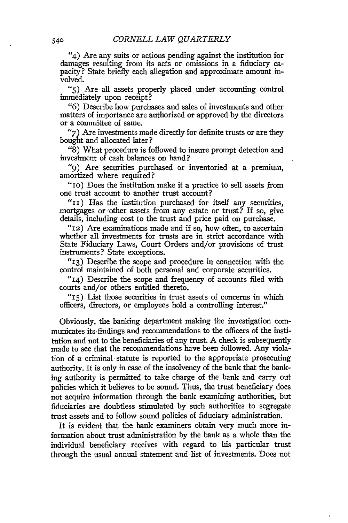"4) Are any suits or actions pending against the institution for damages resulting from its acts or omissions in a fiduciary capacity? State briefly each allegation and approximate amount involved.

*"5)* Are all assets properly placed under accounting control immediately upon receipt?

"6) Describe how purchases and sales of investments and other matters of importance are authorized or approved by the directors or a committee of same.

*"7)* Are investments made directly for definite trusts or are they bought and allocated later?

"8) What procedure is followed to insure prompt detection and investment of cash balances on hand?

"9) Are securities purchased or inventoried at a premium, amortized where required? "io) Does the institution make it a practice to sell assets from

one trust account to another trust account?

"II) Has the institution purchased for itself any securities, mortgages or *other assets from any estate or trust?* If so, give details, including cost to the trust and price paid on purchase.

"12) Are examinations made and if so, how often, to ascertain whether all investments for trusts are in strict accordance with State Fiduciary Laws, Court Orders and/or provisions of trust instruments? State exceptions.

**"13)** Describe the scope and procedure in connection with the control maintained of both personal and corporate securities.

**"14)** Describe the scope and frequency of accounts filed with courts and/or others entitled thereto.

**"15)** List those securities in trust assets of concerns in which officers, directors, or employees hold a controlling interest."

Obviously, the banking department making the investigation communicates its findings and recommendations to the officers of the institution and not to the beneficiaries of any trust. A check is subsequently made to see that the recommendations have been followed. Any violation of a criminal statute is reported to the appropriate prosecuting authority. It is only in case of the insolvency of the bank that the banking authority is permitted to take charge of the bank and carry out policies which it believes to be sound. Thus, the trust beneficiary does not acquire information through the bank examining authorities, but fiduciaries are doubtless stimulated by such authorities to segregate trust assets and to follow sound policies of fiduciary administration.

It is evident that the bank examiners obtain very much more information about trust administration by the bank as a whole than the individual beneficiary receives with regard to his particular trust through the usual annual statement and list of investments. Does not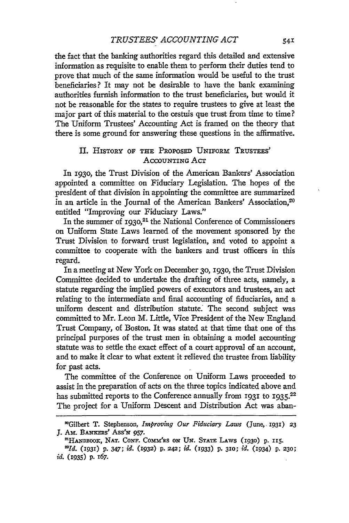the fact that the banking authorities regard this detailed and extensive information as requisite to enable them to perform their duties tend to prove that much of the same information would be useful to the trust beneficiaries? It may not be desirable to have the bank examining authorities furnish information to the trust beneficiaries, but would it not be reasonable for the states to require trustees to give at least the major part of this material to the cestuis que trust from time to time? The Uniform Trustees' Accounting Act is framed on the theory that there is some ground for answering these questions in the affirmative.

### II. **HISTORY OF THE PROPOSED UNIFORM TRUSTEES' ACCOUNTING** ACT

In **193o,** the Trust Division of the American Bankers' Association appointed a committee on Fiduciary Legislation. The hopes of the president of that division in appointing the committee are summarized in an article in the Journal of the American Bankers' Association,<sup>20</sup> entitled "Improving our Fiduciary Laws."

In the summer of **I930,21** the National Conference of Commissioners on Uniform State Laws learned of the movement sponsored by the Trust Division to forward trust legislation, and voted to appoint a committee to cooperate with the bankers and trust officers in this regard.

In a meeting at New York on December 3o , **i93O,** the Trust Division Committee decided to undertake the drafting of three acts, namely, a statute regarding the implied powers of executors and trustees, an act relating to the intermediate and final accounting of fiduciaries, and a uniform descent and distribution statute. The second subject was committed to Mr. Leon M. Little, Vice President of the New England Trust Company, of Boston. It was stated at that time that one of ths principal purposes of the trust men in obtaining a model accounting statute was to settle the exact effect of a court approval of an account, and to make it clear to what extent it relieved the trustee from liability for past acts.

The committee of the Conference on Uniform Laws proceeded to assist in the preparation of acts on the three topics indicated above and has submitted reports to the Conference annually from **1931** to **1935.22** The project for a Uniform Descent and Distribution Act was aban-

<sup>&</sup>quot;Gilbert T. Stephenson, *Improving Our Fiduxiary Laws* (June,. ig3i) **23**  $J.$  Am. BANKERS' Ass'N 957.

**<sup>&#</sup>x27;HANDBOOK, NAT. CONF. COMM'RS ON UN. STATE LAWS (930)** p. **115.**

*<sup>2</sup>Id.* **(1931) p.** 347; *id.* **(1932) p. 242;** *id.* (933) p. 310; *id.* (934) **p. 230;** *id.* **(1935)** P. i67.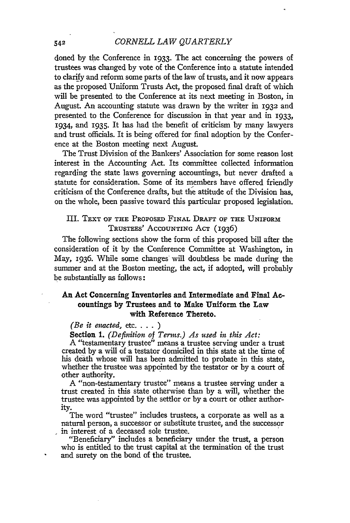doned by the Conference in 1933. The act concerning the powers of trustees was changed by vote of the Conference into a statute intended to clarify and reform some parts of the law of trusts, and it now appears as the proposed Uniform Trusts Act, the proposed final draft of which will be presented to the Conference at its next meeting in Boston, in August. An accounting statute was drawn by the writer in **1932** and presented to the Conference for discussion in that year and in 1933, 1934, and **1935.** It has had the benefit of criticism by many lawyers and trust officials. It is being offered for final adoption by the Conference at the Boston meeting next August.

The Trust Division of the Bankers' Association for some reason lost interest in the Accounting Act. Its committee collected information regarding the state laws governing accountings, but never drafted a statute for consideration. Some of its members have offered friendly criticism of the Conference drafts, but the attitude of the Division has, on the whole, been passive toward this particular proposed legislation.

### III. TEXT OF **THE** PROPOSED **FINAL** DRAFT OF **THE** UNIFORM TRUSTEES' ACCOUNTING **ACT** (1936)

The following sections show the form of this proposed bill after the consideration of it by the Conference Committee at Washington, in May, 1936. While some changes will doubtless be made during the summer and at the Boston meeting, the act, if adopted, will probably be substantially as follows:

### An Act Concerning Inventories and Intermediate and Final Accountings **by** Trustees and to Make Uniform the Law with Reference Thereto.

*(Be it enacted,* etc. . **.** . )

Section **1.** *(Definition* of Terms.) *As used in this Act:*

**A** "testamentary trustee" means a trustee serving under a trust created **by** a will of a testator domiciled in this state at the time of his death whose will has been admitted to probate in this state, whether the trustee was appointed **by** the testator or **by** a court of other authority.

**A** "non-testamentary trustee" means a trustee serving under a trust created in this state otherwise than **by** a will, whether the trustee was appointed **by** the settlor or **by** a court or other authority.

The word "trustee" includes trustees, a corporate as well as a natural person, a successor or substitute trustee, and the successor in interest of a deceased sole trustee.

"Beneficiary" includes a beneficiary under the trust, a person who is entitled to the trust capital at the termination of the trust and surety on the bond of the trustee.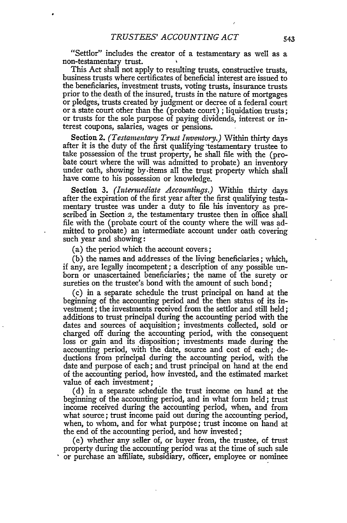"Settlor" includes the creator of a testamentary as well as a non-testamentary trust.

This Act shall not apply to resulting trusts, constructive trusts, business trusts where certificates of beneficial interest are issued to the beneficiaries, investment trusts, voting trusts, insurance trusts prior to the death of the insured, trusts in the nature of mortgages or pledges, trusts created by judgment or decree of a federal court or a state court other than the (probate court) ; liquidation trusts; or trusts for the sole purpose of paying dividends, interest or interest coupons, salaries, wages or pensions.

Section 2. *(Testamentary Trust Inventory.)* Within thirty days after it is the duty of the first qualifying testamentary trustee to take possession of the trust property, he shall file with the (probate court where the will was admitted to probate) an inventory under oath, showing by-items all the trust property which shall have come to his possession or knowledge.

Section 3. *(Intermediate Accountings.)* Within thirty days after the expiration of the first year after the first qualifying testamentary trustee was under a duty to file his inventory as prescribed in Section 2, the testamentary trustee then in office shall file with the (probate court of the county where the will was admitted to probate) an intermediate account under oath covering such year and showing:

(a) the period which the account covers;

(b) the names and addresses of the living beneficiaries; which, if any, are legally incompetent; a description of any possible unborn or unascertained beneficiaries; the name of the surety or sureties on the trustee's bond with the amount of such bond;

(c) in a separate schedule the trust principal on hand at the beginning of the accounting period and the then status of its investment; the investments received from the settlor and still held; additions to trust principal during the accounting period with the dates and sources of acquisition; investments collected, sold or charged off during the accounting period, with the consequent loss or gain and its disposition; investments made during the accounting period, with the date, source and cost of each; deductions from principal during the accounting period, with the date and purpose of each; and trust principal on hand at the end of the accounting period, how invested, and the estimated market value of each investment;

(d) in a separate schedule the trust income on hand at the beginning of the accounting period, and in what form held; trust income received during the accounting period, when, and from what source; trust income paid out during the accounting period, when, to whom, and for what purpose; trust income on hand at the end of the accounting period, and how invested;

(e) whether any seller of, or buyer from, the trustee, of trust property during the accounting period was at the time of such sale or purchase an affiliate, subsidiary, officer, employee or nominee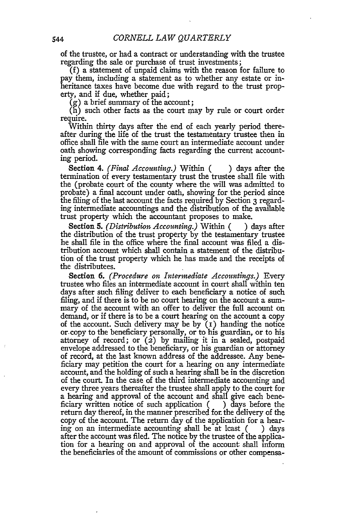of the trustee, or had a contract or understanding with the trustee regarding the sale or purchase of trust investments;

(f) a statement of unpaid claims with the reason for failure to pay them, including a statement as to whether any estate or inheritance taxes have become due with regard to the trust property, and if due, whether paid;

 $(g)$  a brief summary of the account;

(h) such other facts as the court may by rule or court order require.

Within thirty days after the end of each yearly period thereafter during the life of the trust the testamentary trustee then in office shall file with the same court an intermediate account under oath showing corresponding facts regarding the current accounting period.

Section 4. *(Final Accounting.)* Within ( ) days after the termination of every testamentary trust the trustee shall file with the (probate court of the county where the will was admitted to probate) a final account under oath, showing for the period since the filing of the last account the facts required by Section 3 regarding intermediate accountings and the distribution of the available trust property which the accountant proposes to make.

Section **5.** *(Distribution Accounting.)* Within ( ) days after the distribution of the trust property by the testamentary trustee he shall file in the office where the final account Was filed a distribution account which shall contain a statement of the distribution of the trust property which he has made and the receipts of the distributees.

Section **6.** *(Procedure on Intermediate Accountings.)* Every trustee who files an intermediate account in court shall within ten days after such filing deliver to each beneficiary a notice of such filing, and if there is to be no court hearing on the account a summary of the account with an offer to deliver the full account on demand, or if there is to be a court hearing on the account a copy of the account. Such delivery may be **by** (i) handing the notice or. copy to the beneficiary personally, or to his guardian, or to his attorney of record; or (2) **by** mailing it in a sealed, postpaid envelope addressed to the beneficiary, or his guardian or attorney of record, at the last known address of the addressee. Any beneficiary may petition the court for a hearing on any intermediate account, and the holding of such a hearing shall be in the discretion of the court. In the case of the third intermediate accounting and every three years thereafter the trustee shall apply to the court for a hearing and approval of the account and shall give each beneficiary written notice of such application ( ) days before the return day thereof, in the manner prescribed for. the delivery of the copy of the account. The return day of the application for a hearing on an intermediate accounting shall be at least ( ) days after the account was filed. The notice **by** the trustee of the application for a hearing on and approval of the account shall inform the beneficiaries of the amount of commissions or other compensa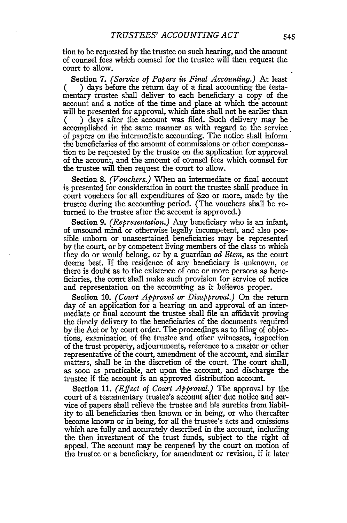tion to be requested by the trustee on such hearing, and the amount of counsel fees which counsel for the trustee will then request the court to allow.

Section **7.** *(Service of Papers in Final Accounting.)* At least ( ) days before the return day of a final accounting the testamentary trustee shall deliver to each beneficiary a copy of the account and a notice of the time and place at which the account will be presented for approval, which date shall not be earlier than ) days after the account was filed. Such delivery may be accomplished in the same manner as with regard to the service of papers on the intermediate accounting. The notice shall inform the beneficiaries of the amount of commissions or other compensation to be requested **by** the trustee on the application for approval of the account, and the amount of counsel fees which counsel for the trustee will then request the court to allow.

Section **8.** *(Vouchers.)* When an intermediate or final account is presented for consideration in court the trustee shall produce in court vouchers for all expenditures of \$2o or more, made **by** the trustee during the accounting period. (The vouchers shall be returned to the trustee after the account is approved.)

Section **9.** *(Representation.)* Any beneficiary who is an infant, of unsound mind or otherwise legally incompetent, and also possible unborn or unascertained beneficiaries may be represented **by** the court, or **by** competent living members of the class to which they do or would belong, or by a guardian *ad litem,* as the court deems best. If the residence of any beneficiary is unknown, or there is doubt as to the existence of one or more persons as beneficiaries, the court shall make such provision for service of notice and representation on the accounting as it believes proper.

Section **10.** *(Court Approval or Disapproval.)* On the return day of an application for a hearing on and approval of an intermediate or final account the trustee shall file an affidavit proving the timely delivery to the beneficiaries of the documents required **by** the Act or **by** court order. The proceedings as to filing of objections, examination of the trustee and other witnesses, inspection of the trust property, adjournments, reference to a master or other representative of the court, amendment of the account, and similar matters, shall be in the discretion of the court. The court shall, as soon as practicable, act upon the account, and discharge the trustee if the account is an approved distribution account.

Section **11.** *(Effect of Court Approval.)* The approval **by** the court of a testamentary trustee's account after due notice and service of papers shall relieve the trustee and his sureties from liability to all beneficiaries then known or in being, or who thereafter become known or in being, for all the trustee's acts and omissions which are fully and accurately described in the account, including the then investment of the trust funds, subject to the right of appeal. The account may be reopened **by** the court on motion of the trustee or a beneficiary, for amendment or revision, if it later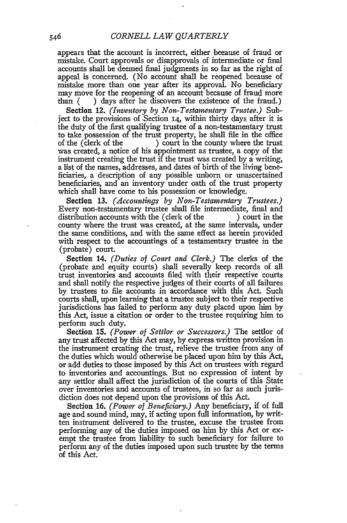appears that the account is incorrect, either because of fraud or mistake. Court approvals or disapprovals of intermediate or final accounts shall be deemed final judgments in so far as the right of appeal is concerned. (No account shall be reopened because of mistake more than one year after its approval. No beneficiary may move for the reopening of an account because of fraud more than ( ) days after he discovers the existence of the fraud.)

Section 12. *(Inventory by Non-Testamentary Trustee.)* Subject to the provisions of ,Section 14, within thirty days after it is the duty of the first qualifying trustee of a non-testamentary trust to take possession of the trust property, he shall file in the office of the (clerk of the ) court in the county where the trust was created, a notice of his appointment as trustee, a copy of the instrument creating the trust if the trust was created **by** a writing, a list of the names, addresses, and dates of birth of the living beneficiaries, a description of any possible unborn or unascertained beneficiaries, and an inventory under oath of the trust property which shall have come to his possession or knowledge.

Section **13.** *(Accountings by Non-Testamentary Trustees.)* Every non-testamentary trustee shall file intermediate, final and distribution accounts with the (clerk of the ) court in the county where the trust was created, at the same intervals, under the same conditions, and with the same effect as herein provided with'respect to the accountings of a testamentary trustee in the (probate) court.

Section 14. *(Duties of Court and Clerk.)* The clerks of the (probate and equity courts) shall severally keep records of all trust inventories and accounts filed with their respective courts and shall notify the respective judges of their courts of all failures **by** trustees to file accounts in accordance with this Act. Such courts shall, upon learning that a trustee subject to their respective jurisdictions has failed to perform any duty placed upon him **by** this Act, issue a citation or order to the trustee requiring him to perform such duty.

Section **15.** *(Power of Settlor or Successors.)* The settlor of any trust affected **by** this Act may, **by** express written provision in the instrument creating the trust, relieve the trustee from any of the duties which would otherwise be placed upon him **by** this Act, or add duties to those imposed **by** this Act on trustees with regard to inventories and accountings. But no expression of intent **by** any settlor shall affect the jurisdiction of the courts of this State over inventories and accounts of trustees, in so far as such jurisdiction does not depend upon the provisions of this Act.

Section **16.** *(Power of Beneficiary.)* Any beneficiary, if of **full** age and sound mind, may, if acting upon full information, **by** written instrument delivered to the trustee, excuse the trustee from performing any of the duties imposed on him **by** this Act or exempt the trustee from liability to such beneficiary for failure to perform any of the duties imposed upon such trustee **by** the terms of this Act.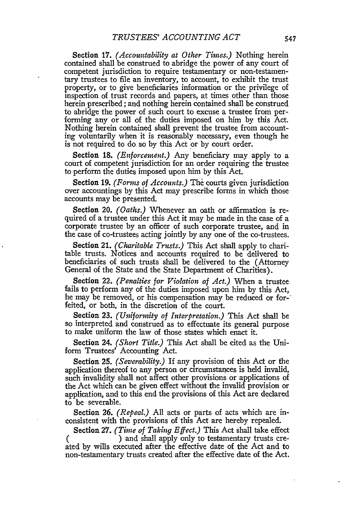Section **17.** *(Accountability at Other Times.)* Nothing herein contained shall be construed to abridge the power of any court of competent jurisdiction to require testamentary or non-testamentary trustees to file an inventory, to account, to exhibit the trust property, or to give beneficiaries information or the privilege of inspection of trust records and papers, at times other than those herein prescribed; and nothing herein contained shall be construed to abridge the power of such court to excuse a trustee from performing any or all of the duties imposed on him by this Act. Nothing herein contained shall prevent the trustee from accounting voluntarily when it is reasonably necessary, even though he is not required to do so by this Act or by court order.

Section **18.** *(Enforcement.)* Any beneficiary may apply to a court of competent jurisdiction for an order requiring the trustee to perform the duties imposed upon him **by** this Act.

Section **19.** *(Forms of Accounts.)* The courts given jurisdiction over accountings **by** this Act may prescribe forms in which those accounts may be presented.

Section 20. *(Oaths.)* Whenever an oath or affirmation is required of a trustee under this Act it may be made in the case of a corporate trustee **by** an officer of such corporate trustee, and in the case of co-trustees acting jointly **by** any one of the co-trustees.

Section 21. *(Charitable Trusts.)* This Act shall apply to charitable trusts. Notices and accounts required to be delivered to beneficiaries of such trusts shall be delivered to the (Attorney General of the State and the State Department of Charities).

Section 22. *(Penalties for Violation af Act.)* When a trustee fails to perform any of the duties imposed upon him by this Act, he may be removed, or his compensation may be reduced or forfeited, or both, in the discretion of the court.

Section **23.** *(Uniformity of Interpretation.)* This Act shall be so interpreted and construed as to effectuate its general purpose to make uniform the law of those states which enact it.

Section 24. *(Short Title.)* This Act shall be cited as the Uniform Trustees' Accounting Act.

Section 25. *(Severability.)* If any provision of this Act or the application thereof to any person or circumstances is held invalid, such invalidity shall not affect other provisions or applications of the Act which can be given effect without the invalid provision or application, and to this end the provisions of this Act are declared to be severable.

Section 26. *(Repeal.)* All acts or parts of acts which are inconsistent with the provisions of this Act are hereby repealed.

Section **27.** *(Time of Taking Effect.)* This Act shall take effect ( ) and shall apply only to testamentary trusts created **by** wills executed after the effective date of the Act and to non-testamentary trusts created after the effective date of the Act.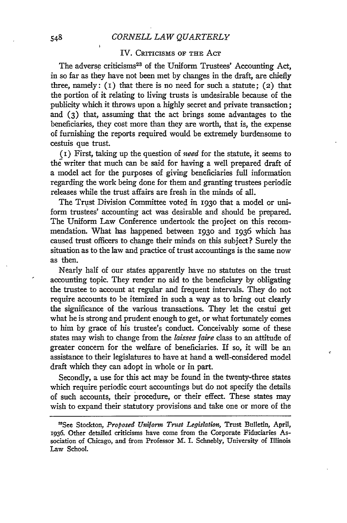### IV. CRITICISMS OF **THE** ACT

The adverse criticisms<sup>23</sup> of the Uniform Trustees' Accounting Act, in so far as they have not been met by changes in the draft, are chiefly three, namely: (I) that there is no need for such a statute; **(2)** that the portion of it relating to living trusts is undesirable because of the publicity which it throws upon a highly secret and private transaction; and (3) that, assuming that the act brings some advantages to the beneficiaries, they cost more than they are worth, that is, the expense of furnishing the reports required would be extremely burdensome to cestuis que trust.

(I) First, taking up the question of *need* for the statute, it seems to the writer that much can be said for having a well prepared draft of a model act for the purposes of giving beneficiaries full information regarding the work being done for them and granting trustees periodic releases while the trust affairs are fresh in the minds of all.

The Trust Division Committee voted in **193o** that a model or uniform trustees' accounting act was desirable and should be prepared. The Uniform Law Conference undertook the project on this recommendation. What has happened between 193o and 1936 which has caused trust officers to change their minds on this subject? Surely the situation as to the law and practice of trust accountings is the same now as then.

Nearly half of our states apparently have no statutes on the trust accounting topic. They render no aid to the beneficiary by obligating the trustee to account at regular and frequent intervals. They do not require accounts to be itemized in such a way as to bring out clearly the significance of the various transactions. They let the cestui get what he is strong and prudent enough to get, or what fortunately comes to him by grace of his trustee's conduct. Conceivably some of these states may wish to change from the *laissez faire* class to an attitude of greater concern for the welfare of beneficiaries. If so, it will be an assistance to their legislatures to have at hand a well-considered model draft which they can adopt in whole or in part.

Secondly, a use for this act may be found in the twenty-three states which require periodic court accountings but do not specify the details of such accounts, their procedure, or their effect. These states may wish to expand their statutory provisions and take one or more of the

<sup>&#</sup>x27;See Stockton, *Proposed Uniform Trust Legislation,* Trust Bulletin, April, 1936. Other detailed criticisms have come from the Corporate Fiduciaries Association of Chicago, and from Professor M. I. Schnebly, University of Illinois Law School.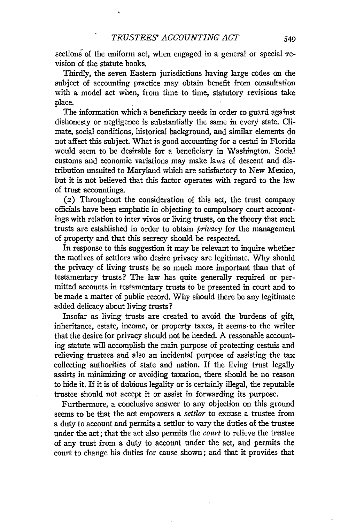sections of the uniform act, when engaged in a general or special revision of the statute books.

Thirdly, the seven Eastern jurisdictions having large codes on the subject of accounting practice may obtain benefit from consultation with a model act when, from time to time, statutory revisions take place.

The information which a beneficiary needs in order to guard against dishonesty or negligence is substantially the same in every state. Climate, social conditions, historical background, and similar elements do not affect this subject. What is good accounting for a cestui in Florida would seem to be desirable for a beneficiary in Washington. Social customs and economic variations may make laws of descent and distribution unsuited to Maryland which are satisfactory to New Mexico, but it is not believed that this factor operates with regard to the law of trust accountings.

(2) Throughout the consideration of this act, the trust company officials have been emphatic in objecting to compulsory court accountings with relation to inter vivos or living trusts, on the theory that such trusts are established in order to obtain *privacy* for the management of property and that this secrecy should be respected.

In response to this suggestion it may be relevant to inquire whether the motives of settlors who desire privacy are legitimate. Why should the privacy of living trusts be so much more important than that of testamentary trusts? The law has quite generally required or permitted accounts in testamentary trusts to be presented in court and to be made a matter of public record. Why should there be any legitimate added delicacy about living trusts?

Insofar as living trusts are created to avoid the burdens of gift, inheritance, estate, income, or property taxes, it seems to the writer that the desire for privacy should not be heeded. A reasonable accounting statute will accomplish the main purpose of protecting cestuis and relieving trustees and also an incidental purpose of assisting the tax collecting authorities of state and nation. If the living trust legally assists in minimizing or avoiding taxation, there should be no reason to hide it. If it is of dubious legality or is certainly illegal, the reputable trustee should not accept it or assist in forwarding its purpose.

Furthermore, a conclusive answer to any objection on this ground seems to be that the act empowers a *settlor* to excuse a trustee from a duty to account and permits a settlor to vary the duties of the trustee under the act; that the act also permits the *court* to relieve the trustee of any trust from a duty to account under the act, and permits the court to change his duties for cause shown; and that it provides that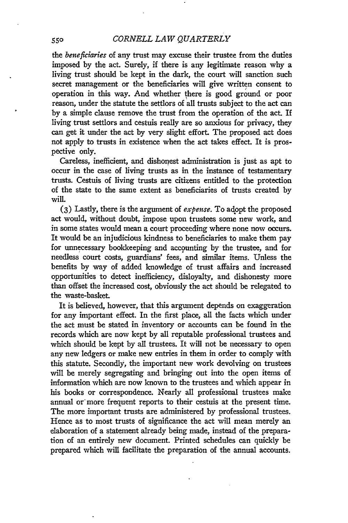the *beneficiaries* **of** any trust may excuse their trustee from the duties imposed **by** the act. Surely, if there is any legitimate reason why a living trust should be kept in the dark, the court will sanction such secret management or the beneficiaries will give written consent to operation in this way. And whether there is good ground or poor reason, under the statute the settlors of all trusts subject to the act can **by** a simple clause remove the trust from the operation of the act. If living trust settlors and cestuis really are so anxious for privacy, they can get it under the act **by** very slight effort. The proposed act does not apply to trusts in existence when the act takes effect. It is prospective only.

Careless, inefficient, and dishonest administration is just as apt to occur in the case of living trusts as in the instance of testamentary trusts. Cestuis of living trusts are citizens entitled to the protection of the state to the same extent as beneficiaries of trusts created **by will.**

**(3)** Lastly, there is the argument of expense. To adopt the proposed act would, without doubt, impose upon trustees some new work, and in some states would mean a court proceeding where none now occurs. It would be an injudicious kindness to beneficiaries to make them pay for unnecessary bookkeeping and accounting **by** the trustee, and for needless court costs, guardians' fees, and similar items. Unless the benefits **by** way of added knowledge of trust affairs and increased opportunities to detect inefficiency, disloyalty, and dishonesty more than offset the increased cost, obviously the act should be relegated to the waste-basket.

It is believed, however, that this argument depends on exaggeration for any important effect. In the first place, all the facts which under the act must be stated in inventory or accounts can be found in the records which are now kept **by** all reputable professional trustees and which should be kept **by** all trustees. It will not be necessary to open any new ledgers or make new entries in them in order to comply with this statute. Secondly, the important new work devolving on trustees will be merely segregating and bringing out into the open items of information which are now known to the trustees and which appear in his books or correspondence. Nearly all professional trustees make annual or more frequent reports to their cestuis at the present time. The more important trusts are administered **by** professional trustees. Hence as to most trusts of significance the act will mean merely an elaboration of a statement already being made, instead of the preparation of an entirely new document. Printed schedules can quickly be prepared which will facilitate the preparation of the annual accounts.